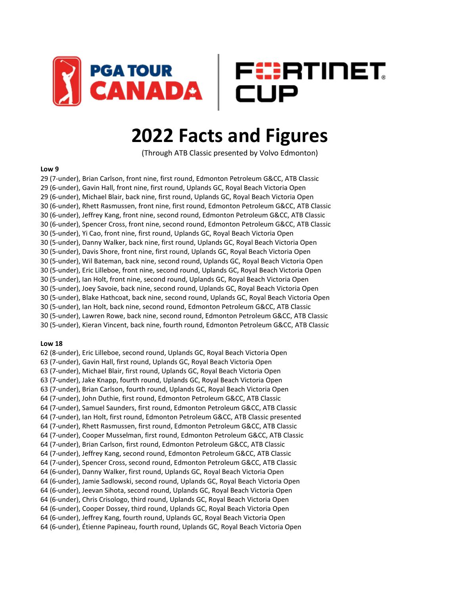

# **2022 Facts and Figures**

(Through ATB Classic presented by Volvo Edmonton)

#### **Low 9**

29 (7-under), Brian Carlson, front nine, first round, Edmonton Petroleum G&CC, ATB Classic 29 (6-under), Gavin Hall, front nine, first round, Uplands GC, Royal Beach Victoria Open 29 (6-under), Michael Blair, back nine, first round, Uplands GC, Royal Beach Victoria Open 30 (6-under), Rhett Rasmussen, front nine, first round, Edmonton Petroleum G&CC, ATB Classic 30 (6-under), Jeffrey Kang, front nine, second round, Edmonton Petroleum G&CC, ATB Classic 30 (6-under), Spencer Cross, front nine, second round, Edmonton Petroleum G&CC, ATB Classic 30 (5-under), Yi Cao, front nine, first round, Uplands GC, Royal Beach Victoria Open 30 (5-under), Danny Walker, back nine, first round, Uplands GC, Royal Beach Victoria Open 30 (5-under), Davis Shore, front nine, first round, Uplands GC, Royal Beach Victoria Open 30 (5-under), Wil Bateman, back nine, second round, Uplands GC, Royal Beach Victoria Open 30 (5-under), Eric Lilleboe, front nine, second round, Uplands GC, Royal Beach Victoria Open 30 (5-under), Ian Holt, front nine, second round, Uplands GC, Royal Beach Victoria Open 30 (5-under), Joey Savoie, back nine, second round, Uplands GC, Royal Beach Victoria Open 30 (5-under), Blake Hathcoat, back nine, second round, Uplands GC, Royal Beach Victoria Open 30 (5-under), Ian Holt, back nine, second round, Edmonton Petroleum G&CC, ATB Classic 30 (5-under), Lawren Rowe, back nine, second round, Edmonton Petroleum G&CC, ATB Classic 30 (5-under), Kieran Vincent, back nine, fourth round, Edmonton Petroleum G&CC, ATB Classic

#### **Low 18**

62 (8-under), Eric Lilleboe, second round, Uplands GC, Royal Beach Victoria Open 63 (7-under), Gavin Hall, first round, Uplands GC, Royal Beach Victoria Open 63 (7-under), Michael Blair, first round, Uplands GC, Royal Beach Victoria Open 63 (7-under), Jake Knapp, fourth round, Uplands GC, Royal Beach Victoria Open 63 (7-under), Brian Carlson, fourth round, Uplands GC, Royal Beach Victoria Open 64 (7-under), John Duthie, first round, Edmonton Petroleum G&CC, ATB Classic 64 (7-under), Samuel Saunders, first round, Edmonton Petroleum G&CC, ATB Classic 64 (7-under), Ian Holt, first round, Edmonton Petroleum G&CC, ATB Classic presented 64 (7-under), Rhett Rasmussen, first round, Edmonton Petroleum G&CC, ATB Classic 64 (7-under), Cooper Musselman, first round, Edmonton Petroleum G&CC, ATB Classic 64 (7-under), Brian Carlson, first round, Edmonton Petroleum G&CC, ATB Classic 64 (7-under), Jeffrey Kang, second round, Edmonton Petroleum G&CC, ATB Classic 64 (7-under), Spencer Cross, second round, Edmonton Petroleum G&CC, ATB Classic 64 (6-under), Danny Walker, first round, Uplands GC, Royal Beach Victoria Open 64 (6-under), Jamie Sadlowski, second round, Uplands GC, Royal Beach Victoria Open 64 (6-under), Jeevan Sihota, second round, Uplands GC, Royal Beach Victoria Open 64 (6-under), Chris Crisologo, third round, Uplands GC, Royal Beach Victoria Open 64 (6-under), Cooper Dossey, third round, Uplands GC, Royal Beach Victoria Open 64 (6-under), Jeffrey Kang, fourth round, Uplands GC, Royal Beach Victoria Open 64 (6-under), Étienne Papineau, fourth round, Uplands GC, Royal Beach Victoria Open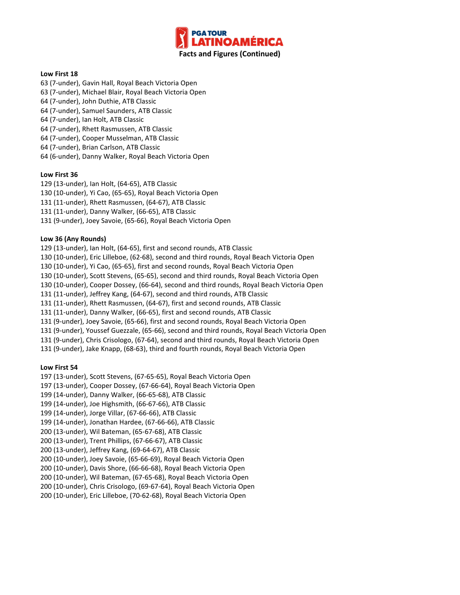

## **Low First 18**

- 63 (7-under), Gavin Hall, Royal Beach Victoria Open
- 63 (7-under), Michael Blair, Royal Beach Victoria Open
- 64 (7-under), John Duthie, ATB Classic
- 64 (7-under), Samuel Saunders, ATB Classic
- 64 (7-under), Ian Holt, ATB Classic
- 64 (7-under), Rhett Rasmussen, ATB Classic
- 64 (7-under), Cooper Musselman, ATB Classic
- 64 (7-under), Brian Carlson, ATB Classic
- 64 (6-under), Danny Walker, Royal Beach Victoria Open

## **Low First 36**

- 129 (13-under), Ian Holt, (64-65), ATB Classic
- 130 (10-under), Yi Cao, (65-65), Royal Beach Victoria Open
- 131 (11-under), Rhett Rasmussen, (64-67), ATB Classic
- 131 (11-under), Danny Walker, (66-65), ATB Classic
- 131 (9-under), Joey Savoie, (65-66), Royal Beach Victoria Open

## **Low 36 (Any Rounds)**

- 129 (13-under), Ian Holt, (64-65), first and second rounds, ATB Classic
- 130 (10-under), Eric Lilleboe, (62-68), second and third rounds, Royal Beach Victoria Open
- 130 (10-under), Yi Cao, (65-65), first and second rounds, Royal Beach Victoria Open
- 130 (10-under), Scott Stevens, (65-65), second and third rounds, Royal Beach Victoria Open
- 130 (10-under), Cooper Dossey, (66-64), second and third rounds, Royal Beach Victoria Open
- 131 (11-under), Jeffrey Kang, (64-67), second and third rounds, ATB Classic
- 131 (11-under), Rhett Rasmussen, (64-67), first and second rounds, ATB Classic
- 131 (11-under), Danny Walker, (66-65), first and second rounds, ATB Classic
- 131 (9-under), Joey Savoie, (65-66), first and second rounds, Royal Beach Victoria Open
- 131 (9-under), Youssef Guezzale, (65-66), second and third rounds, Royal Beach Victoria Open
- 131 (9-under), Chris Crisologo, (67-64), second and third rounds, Royal Beach Victoria Open
- 131 (9-under), Jake Knapp, (68-63), third and fourth rounds, Royal Beach Victoria Open

## **Low First 54**

- 197 (13-under), Scott Stevens, (67-65-65), Royal Beach Victoria Open
- 197 (13-under), Cooper Dossey, (67-66-64), Royal Beach Victoria Open
- 199 (14-under), Danny Walker, (66-65-68), ATB Classic
- 199 (14-under), Joe Highsmith, (66-67-66), ATB Classic
- 199 (14-under), Jorge Villar, (67-66-66), ATB Classic
- 199 (14-under), Jonathan Hardee, (67-66-66), ATB Classic
- 200 (13-under), Wil Bateman, (65-67-68), ATB Classic
- 200 (13-under), Trent Phillips, (67-66-67), ATB Classic
- 200 (13-under), Jeffrey Kang, (69-64-67), ATB Classic
- 200 (10-under), Joey Savoie, (65-66-69), Royal Beach Victoria Open
- 200 (10-under), Davis Shore, (66-66-68), Royal Beach Victoria Open
- 200 (10-under), Wil Bateman, (67-65-68), Royal Beach Victoria Open
- 200 (10-under), Chris Crisologo, (69-67-64), Royal Beach Victoria Open
- 200 (10-under), Eric Lilleboe, (70-62-68), Royal Beach Victoria Open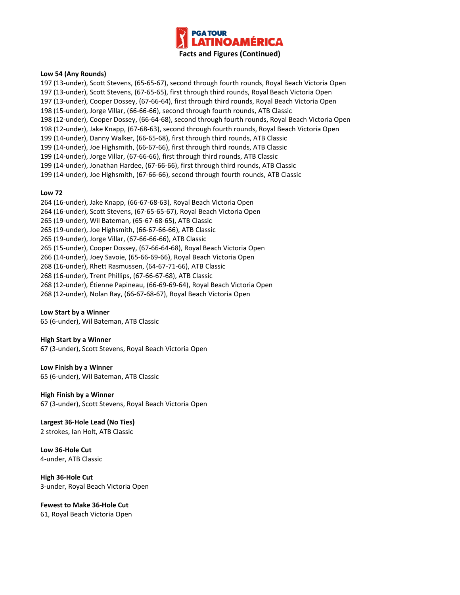

#### **Low 54 (Any Rounds)**

197 (13-under), Scott Stevens, (65-65-67), second through fourth rounds, Royal Beach Victoria Open 197 (13-under), Scott Stevens, (67-65-65), first through third rounds, Royal Beach Victoria Open 197 (13-under), Cooper Dossey, (67-66-64), first through third rounds, Royal Beach Victoria Open 198 (15-under), Jorge Villar, (66-66-66), second through fourth rounds, ATB Classic 198 (12-under), Cooper Dossey, (66-64-68), second through fourth rounds, Royal Beach Victoria Open 198 (12-under), Jake Knapp, (67-68-63), second through fourth rounds, Royal Beach Victoria Open 199 (14-under), Danny Walker, (66-65-68), first through third rounds, ATB Classic 199 (14-under), Joe Highsmith, (66-67-66), first through third rounds, ATB Classic 199 (14-under), Jorge Villar, (67-66-66), first through third rounds, ATB Classic 199 (14-under), Jonathan Hardee, (67-66-66), first through third rounds, ATB Classic 199 (14-under), Joe Highsmith, (67-66-66), second through fourth rounds, ATB Classic

#### **Low 72**

264 (16-under), Jake Knapp, (66-67-68-63), Royal Beach Victoria Open 264 (16-under), Scott Stevens, (67-65-65-67), Royal Beach Victoria Open 265 (19-under), Wil Bateman, (65-67-68-65), ATB Classic 265 (19-under), Joe Highsmith, (66-67-66-66), ATB Classic 265 (19-under), Jorge Villar, (67-66-66-66), ATB Classic 265 (15-under), Cooper Dossey, (67-66-64-68), Royal Beach Victoria Open 266 (14-under), Joey Savoie, (65-66-69-66), Royal Beach Victoria Open 268 (16-under), Rhett Rasmussen, (64-67-71-66), ATB Classic 268 (16-under), Trent Phillips, (67-66-67-68), ATB Classic 268 (12-under), Étienne Papineau, (66-69-69-64), Royal Beach Victoria Open 268 (12-under), Nolan Ray, (66-67-68-67), Royal Beach Victoria Open

#### **Low Start by a Winner**

65 (6-under), Wil Bateman, ATB Classic

#### **High Start by a Winner**

67 (3-under), Scott Stevens, Royal Beach Victoria Open

**Low Finish by a Winner** 65 (6-under), Wil Bateman, ATB Classic

**High Finish by a Winner** 67 (3-under), Scott Stevens, Royal Beach Victoria Open

**Largest 36-Hole Lead (No Ties)** 2 strokes, Ian Holt, ATB Classic

**Low 36-Hole Cut** 4-under, ATB Classic

**High 36-Hole Cut** 3-under, Royal Beach Victoria Open

**Fewest to Make 36-Hole Cut** 61, Royal Beach Victoria Open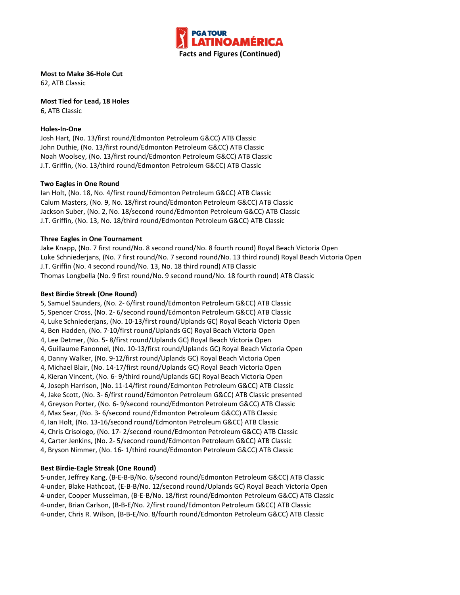

**Most to Make 36-Hole Cut** 62, ATB Classic

**Most Tied for Lead, 18 Holes**

6, ATB Classic

## **Holes-In-One**

Josh Hart, (No. 13/first round/Edmonton Petroleum G&CC) ATB Classic John Duthie, (No. 13/first round/Edmonton Petroleum G&CC) ATB Classic Noah Woolsey, (No. 13/first round/Edmonton Petroleum G&CC) ATB Classic J.T. Griffin, (No. 13/third round/Edmonton Petroleum G&CC) ATB Classic

## **Two Eagles in One Round**

Ian Holt, (No. 18, No. 4/first round/Edmonton Petroleum G&CC) ATB Classic Calum Masters, (No. 9, No. 18/first round/Edmonton Petroleum G&CC) ATB Classic Jackson Suber, (No. 2, No. 18/second round/Edmonton Petroleum G&CC) ATB Classic J.T. Griffin, (No. 13, No. 18/third round/Edmonton Petroleum G&CC) ATB Classic

## **Three Eagles in One Tournament**

Jake Knapp, (No. 7 first round/No. 8 second round/No. 8 fourth round) Royal Beach Victoria Open Luke Schniederjans, (No. 7 first round/No. 7 second round/No. 13 third round) Royal Beach Victoria Open J.T. Griffin (No. 4 second round/No. 13, No. 18 third round) ATB Classic Thomas Longbella (No. 9 first round/No. 9 second round/No. 18 fourth round) ATB Classic

## **Best Birdie Streak (One Round)**

- 5, Samuel Saunders, (No. 2- 6/first round/Edmonton Petroleum G&CC) ATB Classic
- 5, Spencer Cross, (No. 2- 6/second round/Edmonton Petroleum G&CC) ATB Classic
- 4, Luke Schniederjans, (No. 10-13/first round/Uplands GC) Royal Beach Victoria Open
- 4, Ben Hadden, (No. 7-10/first round/Uplands GC) Royal Beach Victoria Open
- 4, Lee Detmer, (No. 5- 8/first round/Uplands GC) Royal Beach Victoria Open
- 4, Guillaume Fanonnel, (No. 10-13/first round/Uplands GC) Royal Beach Victoria Open
- 4, Danny Walker, (No. 9-12/first round/Uplands GC) Royal Beach Victoria Open
- 4, Michael Blair, (No. 14-17/first round/Uplands GC) Royal Beach Victoria Open
- 4, Kieran Vincent, (No. 6- 9/third round/Uplands GC) Royal Beach Victoria Open
- 4, Joseph Harrison, (No. 11-14/first round/Edmonton Petroleum G&CC) ATB Classic
- 4, Jake Scott, (No. 3- 6/first round/Edmonton Petroleum G&CC) ATB Classic presented
- 4, Greyson Porter, (No. 6- 9/second round/Edmonton Petroleum G&CC) ATB Classic
- 4, Max Sear, (No. 3- 6/second round/Edmonton Petroleum G&CC) ATB Classic
- 4, Ian Holt, (No. 13-16/second round/Edmonton Petroleum G&CC) ATB Classic
- 4, Chris Crisologo, (No. 17- 2/second round/Edmonton Petroleum G&CC) ATB Classic
- 4, Carter Jenkins, (No. 2- 5/second round/Edmonton Petroleum G&CC) ATB Classic
- 4, Bryson Nimmer, (No. 16- 1/third round/Edmonton Petroleum G&CC) ATB Classic

## **Best Birdie-Eagle Streak (One Round)**

5-under, Jeffrey Kang, (B-E-B-B/No. 6/second round/Edmonton Petroleum G&CC) ATB Classic 4-under, Blake Hathcoat, (E-B-B/No. 12/second round/Uplands GC) Royal Beach Victoria Open 4-under, Cooper Musselman, (B-E-B/No. 18/first round/Edmonton Petroleum G&CC) ATB Classic 4-under, Brian Carlson, (B-B-E/No. 2/first round/Edmonton Petroleum G&CC) ATB Classic 4-under, Chris R. Wilson, (B-B-E/No. 8/fourth round/Edmonton Petroleum G&CC) ATB Classic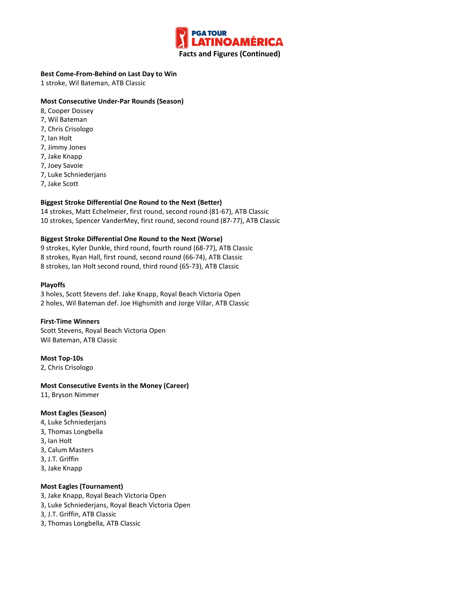

## **Best Come-From-Behind on Last Day to Win**

1 stroke, Wil Bateman, ATB Classic

## **Most Consecutive Under-Par Rounds (Season)**

- 8, Cooper Dossey
- 7, Wil Bateman
- 7, Chris Crisologo
- 7, Ian Holt
- 7, Jimmy Jones
- 7, Jake Knapp
- 7, Joey Savoie
- 7, Luke Schniederjans
- 7, Jake Scott

## **Biggest Stroke Differential One Round to the Next (Better)**

14 strokes, Matt Echelmeier, first round, second round (81-67), ATB Classic 10 strokes, Spencer VanderMey, first round, second round (87-77), ATB Classic

## **Biggest Stroke Differential One Round to the Next (Worse)**

9 strokes, Kyler Dunkle, third round, fourth round (68-77), ATB Classic 8 strokes, Ryan Hall, first round, second round (66-74), ATB Classic 8 strokes, Ian Holt second round, third round (65-73), ATB Classic

## **Playoffs**

3 holes, Scott Stevens def. Jake Knapp, Royal Beach Victoria Open 2 holes, Wil Bateman def. Joe Highsmith and Jorge Villar, ATB Classic

#### **First-Time Winners**

Scott Stevens, Royal Beach Victoria Open Wil Bateman, ATB Classic

## **Most Top-10s**

2, Chris Crisologo

#### **Most Consecutive Events in the Money (Career)**

11, Bryson Nimmer

#### **Most Eagles (Season)**

- 4, Luke Schniederjans
- 3, Thomas Longbella
- 3, Ian Holt
- 3, Calum Masters
- 3, J.T. Griffin
- 3, Jake Knapp

#### **Most Eagles (Tournament)**

- 3, Jake Knapp, Royal Beach Victoria Open
- 3, Luke Schniederjans, Royal Beach Victoria Open
- 3, J.T. Griffin, ATB Classic
- 3, Thomas Longbella, ATB Classic